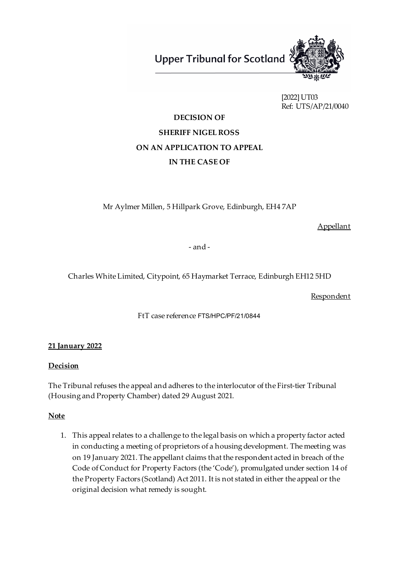**Upper Tribunal for Scotland** 



[2022] UT03 Ref: UTS/AP/21/0040

# **DECISION OF SHERIFF NIGEL ROSS ON AN APPLICATION TO APPEAL IN THE CASE OF**

Mr Aylmer Millen, 5 Hillpark Grove, Edinburgh, EH4 7AP

Appellant

- and -

Charles White Limited, Citypoint, 65 Haymarket Terrace, Edinburgh EH12 5HD

**Respondent** 

FtT case reference FTS/HPC/PF/21/0844

# **21 January 2022**

## **Decision**

The Tribunal refuses the appeal and adheres to the interlocutor of the First-tier Tribunal (Housing and Property Chamber) dated 29 August 2021.

## **Note**

1. This appeal relates to a challenge to the legal basis on which a property factor acted in conducting a meeting of proprietors of a housing development. The meeting was on 19 January 2021. The appellant claims that the respondent acted in breach of the Code of Conduct for Property Factors (the 'Code'), promulgated under section 14 of the Property Factors (Scotland) Act 2011. It is not stated in either the appeal or the original decision what remedy is sought.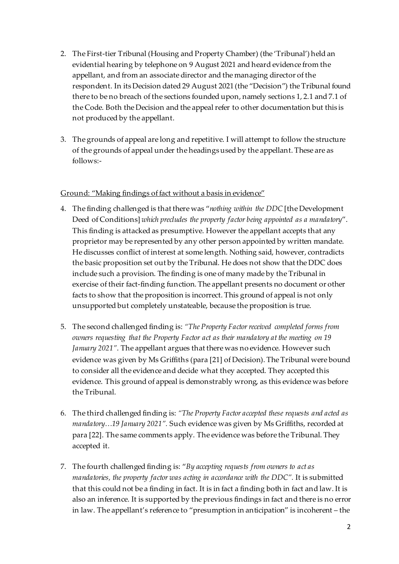- 2. The First-tier Tribunal (Housing and Property Chamber) (the 'Tribunal') held an evidential hearing by telephone on 9 August 2021 and heard evidence from the appellant, and from an associate director and the managing director of the respondent. In its Decision dated 29 August 2021 (the "Decision") the Tribunal found there to be no breach of the sections founded upon, namely sections 1, 2.1 and 7.1 of the Code. Both the Decision and the appeal refer to other documentation but this is not produced by the appellant.
- 3. The grounds of appeal are long and repetitive. I will attempt to follow the structure of the grounds of appeal under the headings used by the appellant. These are as follows:-

#### Ground: "Making findings of fact without a basis in evidence"

- 4. The finding challenged is that there was "*nothing within the DDC* [the Development Deed of Conditions] *which precludes the property factor being appointed as a mandatory*". This finding is attacked as presumptive. However the appellant accepts that any proprietor may be represented by any other person appointed by written mandate. He discusses conflict of interest at some length. Nothing said, however, contradicts the basic proposition set out by the Tribunal. He does not show that the DDC does include such a provision. The finding is one of many made by the Tribunal in exercise of their fact-finding function. The appellant presents no document or other facts to show that the proposition is incorrect. This ground of appeal is not only unsupported but completely unstateable, because the proposition is true.
- 5. The second challenged finding is: *"The Property Factor received completed forms from owners requesting that the Property Factor act as their mandatory at the meeting on 19 January 2021"*. The appellant argues that there was no evidence. However such evidence was given by Ms Griffiths (para [21] of Decision). The Tribunal were bound to consider all the evidence and decide what they accepted. They accepted this evidence. This ground of appeal is demonstrably wrong, as this evidence was before the Tribunal.
- 6. The third challenged finding is: *"The Property Factor accepted these requests and acted as mandatory…19 January 2021".* Such evidence was given by Ms Griffiths, recorded at para [22]. The same comments apply. The evidence was before the Tribunal. They accepted it.
- 7. The fourth challenged finding is: "*By accepting requests from owners to act as mandatories, the property factor was acting in accordance with the DDC".* It is submitted that this could not be a finding in fact. It is in fact a finding both in fact and law. It is also an inference. It is supported by the previous findings in fact and there is no error in law. The appellant's reference to "presumption in anticipation" is incoherent – the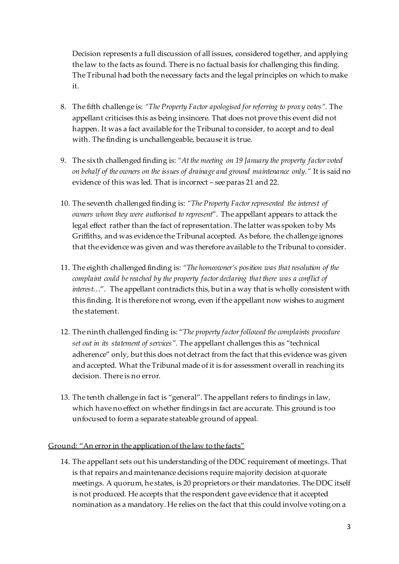Decision represents a full discussion of all issues, considered together, and applying the law to the facts as found. There is no factual basis for challenging this finding. The Tribunal had both the necessary facts and the legal principles on which to make it.

- 8. The fifth challenge is: *"The Property Factor apologised for referring to proxy votes".* The appellant criticises this as being insincere. That does not prove this event did not happen. It was a fact available for the Tribunal to consider, to accept and to deal with. The finding is unchallengeable, because it is true.
- 9. The sixth challenged finding is: *"At the meeting on 19 January the property factor voted on behalf of the owners on the issues of drainage and ground maintenance only."* It is said no evidence of this was led. That is incorrect – see paras 21 and 22.
- 10. The seventh challenged finding is: *"The Property Factor represented the interest of owners whom they were authorised to represent*". The appellant appears to attack the legal effect rather than the fact of representation. The latter was spoken to by Ms Griffiths, and was evidence the Tribunal accepted. As before, the challenge ignores that the evidence was given and was therefore available to the Tribunal to consider.
- 11. The eighth challenged finding is: *"The homeowner's position was that resolution of the complaint could be reached by the property factor declaring that there was a conflict of interest…*". The appellant contradicts this, but in a way that is wholly consistent with this finding. It is therefore not wrong, even if the appellant now wishes to augment the statement.
- 12. The ninth challenged finding is: "*The property factor followed the complaints procedure set out in its statement of services".* The appellant challenges this as "technical adherence" only, but this does not detract from the fact that this evidence was given and accepted. What the Tribunal made of it is for assessment overall in reaching its decision. There is no error.
- 13. The tenth challenge in fact is "general". The appellant refers to findings in law, which have no effect on whether findings in fact are accurate. This ground is too unfocused to form a separate stateable ground of appeal.

## Ground: "An error in the application of the law to the facts"

14. The appellant sets out his understanding of the DDC requirement of meetings. That is that repairs and maintenance decisions require majority decision at quorate meetings. A quorum, he states, is 20 proprietors or their mandatories. The DDC itself is not produced. He accepts that the respondent gave evidence that it accepted nomination as a mandatory. He relies on the fact that this could involve voting on a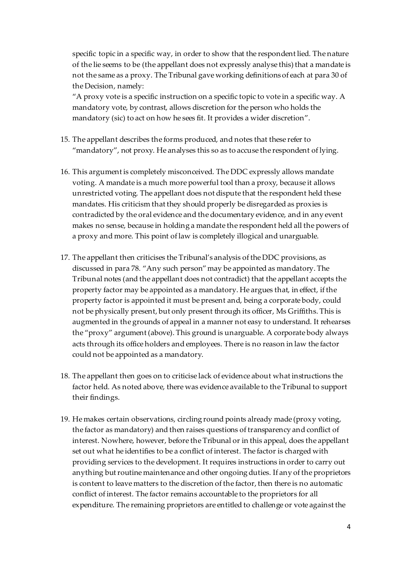specific topic in a specific way, in order to show that the respondent lied. The nature of the lie seems to be (the appellant does not expressly analyse this) that a mandate is not the same as a proxy. The Tribunal gave working definitions of each at para 30 of the Decision, namely:

"A proxy vote is a specific instruction on a specific topic to vote in a specific way. A mandatory vote, by contrast, allows discretion for the person who holds the mandatory (sic) to act on how he sees fit. It provides a wider discretion".

- 15. The appellant describes the forms produced, and notes that these refer to "mandatory", not proxy. He analyses this so as to accuse the respondent of lying.
- 16. This argument is completely misconceived. The DDC expressly allows mandate voting. A mandate is a much more powerful tool than a proxy, because it allows unrestricted voting. The appellant does not dispute that the respondent held these mandates. His criticism that they should properly be disregarded as proxies is contradicted by the oral evidence and the documentary evidence, and in any event makes no sense, because in holding a mandate the respondent held all the powers of a proxy and more. This point of law is completely illogical and unarguable.
- 17. The appellant then criticises the Tribunal's analysis of the DDC provisions, as discussed in para 78. "Any such person" may be appointed as mandatory. The Tribunal notes (and the appellant does not contradict) that the appellant accepts the property factor may be appointed as a mandatory. He argues that, in effect, if the property factor is appointed it must be present and, being a corporate body, could not be physically present, but only present through its officer, Ms Griffiths. This is augmented in the grounds of appeal in a manner not easy to understand. It rehearses the "proxy" argument (above). This ground is unarguable. A corporate body always acts through its office holders and employees. There is no reason in law the factor could not be appointed as a mandatory.
- 18. The appellant then goes on to criticise lack of evidence about what instructions the factor held. As noted above, there was evidence available to the Tribunal to support their findings.
- 19. He makes certain observations, circling round points already made (proxy voting, the factor as mandatory) and then raises questions of transparency and conflict of interest. Nowhere, however, before the Tribunal or in this appeal, does the appellant set out what he identifies to be a conflict of interest. The factor is charged with providing services to the development. It requires instructions in order to carry out anything but routine maintenance and other ongoing duties. If any of the proprietors is content to leave matters to the discretion of the factor, then there is no automatic conflict of interest. The factor remains accountable to the proprietors for all expenditure. The remaining proprietors are entitled to challenge or vote against the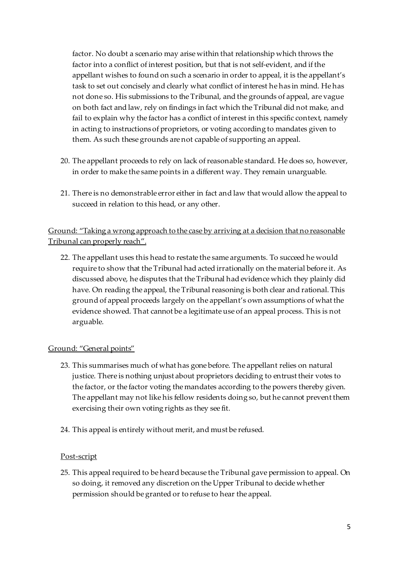factor. No doubt a scenario may arise within that relationship which throws the factor into a conflict of interest position, but that is not self-evident, and if the appellant wishes to found on such a scenario in order to appeal, it is the appellant's task to set out concisely and clearly what conflict of interest he has in mind. He has not done so. His submissions to the Tribunal, and the grounds of appeal, are vague on both fact and law, rely on findings in fact which the Tribunal did not make, and fail to explain why the factor has a conflict of interest in this specific context, namely in acting to instructions of proprietors, or voting according to mandates given to them. As such these grounds are not capable of supporting an appeal.

- 20. The appellant proceeds to rely on lack of reasonable standard. He does so, however, in order to make the same points in a different way. They remain unarguable.
- 21. There is no demonstrable error either in fact and law that would allow the appeal to succeed in relation to this head, or any other.

# Ground: "Taking a wrong approach to the case by arriving at a decision that no reasonable Tribunal can properly reach".

22. The appellant uses this head to restate the same arguments. To succeed he would require to show that the Tribunal had acted irrationally on the material before it. As discussed above, he disputes that the Tribunal had evidence which they plainly did have. On reading the appeal, the Tribunal reasoning is both clear and rational. This ground of appeal proceeds largely on the appellant's own assumptions of what the evidence showed. That cannot be a legitimate use of an appeal process. This is not arguable.

# Ground: "General points"

- 23. This summarises much of what has gone before. The appellant relies on natural justice. There is nothing unjust about proprietors deciding to entrust their votes to the factor, or the factor voting the mandates according to the powers thereby given. The appellant may not like his fellow residents doing so, but he cannot prevent them exercising their own voting rights as they see fit.
- 24. This appeal is entirely without merit, and must be refused.

## Post-script

25. This appeal required to be heard because the Tribunal gave permission to appeal. On so doing, it removed any discretion on the Upper Tribunal to decide whether permission should be granted or to refuse to hear the appeal.